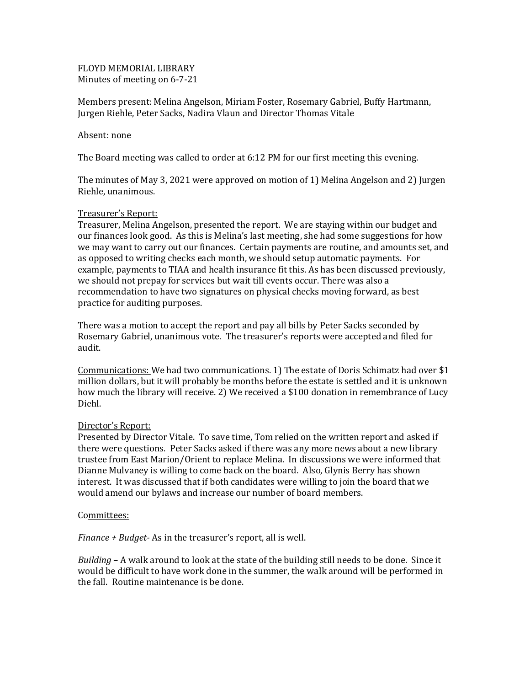FLOYD MEMORIAL LIBRARY Minutes of meeting on 6-7-21

Members present: Melina Angelson, Miriam Foster, Rosemary Gabriel, Buffy Hartmann, Jurgen Riehle, Peter Sacks, Nadira Vlaun and Director Thomas Vitale

## Absent: none

The Board meeting was called to order at 6:12 PM for our first meeting this evening.

The minutes of May 3, 2021 were approved on motion of 1) Melina Angelson and 2) Jurgen Riehle, unanimous.

# Treasurer's Report:

Treasurer, Melina Angelson, presented the report. We are staying within our budget and our finances look good. As this is Melina's last meeting, she had some suggestions for how we may want to carry out our finances. Certain payments are routine, and amounts set, and as opposed to writing checks each month, we should setup automatic payments. For example, payments to TIAA and health insurance fit this. As has been discussed previously, we should not prepay for services but wait till events occur. There was also a recommendation to have two signatures on physical checks moving forward, as best practice for auditing purposes.

There was a motion to accept the report and pay all bills by Peter Sacks seconded by Rosemary Gabriel, unanimous vote. The treasurer's reports were accepted and filed for audit.

Communications: We had two communications. 1) The estate of Doris Schimatz had over \$1 million dollars, but it will probably be months before the estate is settled and it is unknown how much the library will receive. 2) We received a \$100 donation in remembrance of Lucy Diehl.

#### Director's Report:

Presented by Director Vitale. To save time, Tom relied on the written report and asked if there were questions. Peter Sacks asked if there was any more news about a new library trustee from East Marion/Orient to replace Melina. In discussions we were informed that Dianne Mulvaney is willing to come back on the board. Also, Glynis Berry has shown interest. It was discussed that if both candidates were willing to join the board that we would amend our bylaws and increase our number of board members.

## Committees:

*Finance + Budget-* As in the treasurer's report, all is well.

*Building* – A walk around to look at the state of the building still needs to be done. Since it would be difficult to have work done in the summer, the walk around will be performed in the fall. Routine maintenance is be done.